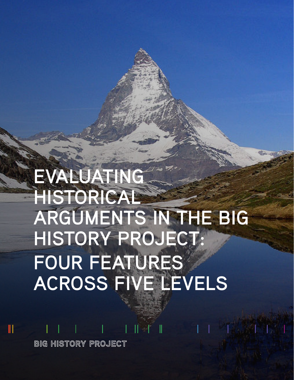# **EVALUATING HISTORICAL ARGUMENTS IN THE BIG HISTORY PROJECT: FOUR FEATURES ACROSS FIVE LEVELS**

**BIG HISTORY PROJECT** 

 $\mathbb I$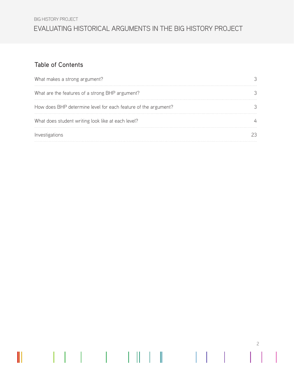BIG HISTORY PROJECT

## EVALUATING HISTORICAL ARGUMENTS IN THE BIG HISTORY PROJECT

## Table of Contents

 $\parallel$ 

 $\begin{array}{c} \hline \end{array}$  $\mathbf{I}$ 

| What makes a strong argument?                                  |  |
|----------------------------------------------------------------|--|
| What are the features of a strong BHP argument?                |  |
| How does BHP determine level for each feature of the argument? |  |
| What does student writing look like at each level?             |  |
| Investigations                                                 |  |

2

 $\mathbf{H} \times \mathbf{R}$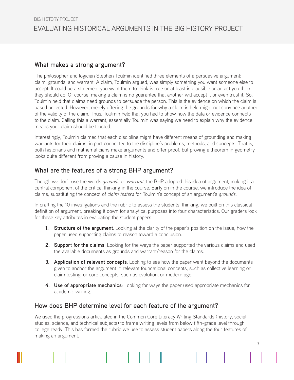## What makes a strong argument?

The philosopher and logician Stephen Toulmin identified three elements of a persuasive argument: claim, grounds, and warrant. A claim, Toulmin argued, was simply something you want someone else to accept. It could be a statement you want them to think is true or at least is plausible or an act you think they should do. Of course, making a claim is no guarantee that another will accept it or even trust it. So, Toulmin held that claims need grounds to persuade the person. This is the evidence on which the claim is based or tested. However, merely offering the grounds for why a claim is held might not convince another of the validity of the claim. Thus, Toulmin held that you had to show how the data or evidence connects to the claim. Calling this a warrant, essentially Toulmin was saying we need to explain why the evidence means your claim should be trusted.

Interestingly, Toulmin claimed that each discipline might have different means of grounding and making warrants for their claims, in part connected to the discipline's problems, methods, and concepts. That is, both historians and mathematicians make arguments and offer proof, but proving a theorem in geometry looks quite different from proving a cause in history.

## What are the features of a strong BHP argument?

Though we don't use the words *grounds* or *warrant*, the BHP adopted this idea of argument, making it a central component of the critical thinking in the course. Early on in the course, we introduce the idea of claims, substituting the concept of *claim testers* for Toulmin's concept of an argument's *grounds*.

In crafting the 10 investigations and the rubric to assess the students' thinking, we built on this classical definition of argument, breaking it down for analytical purposes into four characteristics. Our graders look for these key attributes in evaluating the student papers.

- **1. Structure of the argument**: Looking at the clarity of the paper's position on the issue, how the paper used supporting claims to reason toward a conclusion.
- **2. Support for the claims**: Looking for the ways the paper supported the various claims and used the available documents as grounds and warrant/reason for the claims.
- **3. Application of relevant concepts**: Looking to see how the paper went beyond the documents given to anchor the argument in relevant foundational concepts, such as collective learning or claim testing; or core concepts, such as evolution, or modern age.
- **4. Use of appropriate mechanics**: Looking for ways the paper used appropriate mechanics for academic writing.

## How does BHP determine level for each feature of the argument?

We used the progressions articulated in the Common Core Literacy Writing Standards (history, social studies, science, and technical subjects) to frame writing levels from below fifth-grade level through college ready. This has formed the rubric we use to assess student papers along the four features of making an argument.

II.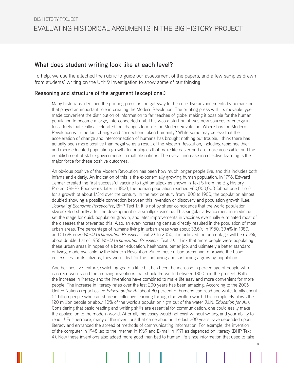## What does student writing look like at each level?

To help, we use the attached the rubric to guide our assessment of the papers, and a few samples drawn from students' writing on the Unit 9 Investigation to show some of our thinking.

## Reasoning and structure of the argument (exceptional)

Many historians identified the printing press as the gateway to the collective advancements by humankind that played an important role in creating the Modern Revolution. The printing press with its movable type made convenient the distribution of information to far reaches of globe, making it possible for the human population to become a large, interconnected unit. This was a start but it was new sources of energy in fossil fuels that really accelerated the changes to make the Modern Revolution. Where has the Modern Revolution with the fast change and connections taken humanity? While some may believe that the acceleration of change and interconnection of humans has brought nothing but trouble, I think there has actually been more positive than negative as a result of the Modern Revolution, including rapid healthier and more educated population growth, technologies that make life easier and are more accessible, and the establishment of stable governments in multiple nations. The overall increase in collective learning is the major force for these positive outcomes.

An obvious positive of the Modern Revolution has been how much longer people live, and this includes both infants and elderly. An indication of this is the exponentially growing human population. In 1796, Edward Jenner created the first successful vaccine to fight smallpox as shown in Text 5 from the Big History Project (BHP). Four years, later in 1800, the human population reached 960,000,000 (about one billion) for a growth of about 1/3rd over the century. In the next century from 1800 to 1900, the population almost doubled showing a possible connection between this invention or discovery and population growth (Lee, *Journal of Economic Perspective*, BHP Text 1). It is not by sheer coincidence that the world population skyrocketed shortly after the development of a smallpox vaccine. This singular advancement in medicine set the stage for quick population growth, and later improvements in vaccines eventually eliminated most of the diseases that prevented this. Also, an ever-increasing census directly resulted in the population of most urban areas. The percentage of humans living in urban areas was about 33.6% in 1950, 39.4% in 1980, and 51.6% now (*World Urbanization Prospects* Text 2). In 2050, it is believed the percentage will be 67.2%, about double that of 1950 *World Urbanization Prospects*, Text 2). I think that more people were populating these urban areas in hopes of a better education, healthcare, better job, and ultimately a better standard of living, made available by the Modern Revolution. Since these urban areas had to provide the basic necessities for its citizens, they were ideal for the containing and sustaining a growing population.

Another positive feature, switching gears a little bit, has been the increase in percentage of people who can read words and the amazing inventions that shook the world between 1800 and the present. Both the increase in literacy and the inventions have combined to make life easy and more convenient for more people. The increase in literacy rates over the last 200 years has been amazing. According to the 2006 United Nations report called *Education for All* about 80 percent of humans can read and write, totally about 5.1 billion people who can share in collective learning through the written word. This completely blows the 120 million people or about 10% of the world's population right out of the water (U.N. *Education for All*). Considering that basic reading and writing skills are essential for communication, one could easily make the application to the modern world. After all, this essay would not exist without writing and your ability to read it! Furthermore, many of the inventions that came about in the last 200 years have depended upon literacy and enhanced the spread of methods of communicating information. For example, the invention of the computer in 1948 led to the Internet in 1969 and E-mail in 1971 as depended on literacy (BHP Text 4). Now these inventions also added more good than bad to human life since information that used to take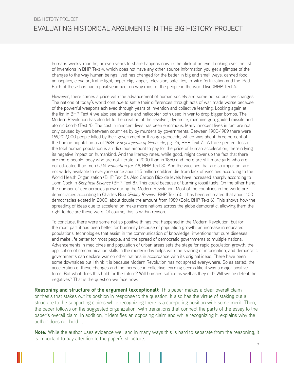## <span id="page-4-0"></span>EVALUATING HISTORICAL ARGUMENTS IN THE BIG HISTORY PROJECT BIG HISTORY PROJECT

humans weeks, months, or even years to share happens now in the blink of an eye. Looking over the list of inventions in BHP Text 4, which does not have any other source information you get a glimpse of the changes to the way human beings lived has changed for the better in big and small ways: canned food, antiseptics, elevator, traffic light, paper clip, zipper, television, satellites, in-vitro fertilization and the iPad. Each of these has had a positive impact on way most of the people in the world live (BHP Text 4).

However, there comes a price with the advancement of human society and some not so positive changes. The nations of today's world continue to settle their differences through acts of war made worse because of the powerful weapons achieved through years of invention and collective learning. Looking again at the list in BHP Text 4 we also see airplane and helicopter both used in war to drop bigger bombs. The Modern Revolution has also let to the creation of the revolver, dynamite, machine gun, guided missile and atomic bomb (Text 4). The cost in innocent lives has been enormous. Many innocent lives in fact are not only caused by wars between countries by by murders by governments. Between 1900-1989 there were 169,202,000 people killed by their government or through genocide, which was about three percent of the human population as of 1989 (*Encyclopedia of Genocide*, pg. 24, BHP Text 7). A three percent loss of the total human population is a ridiculous amount to pay for the price of human acceleration, therein lying its negative impact on humankind. And the literacy rates, while good, might cover up the fact that there are more people today who are not literate in 2000 than in 1850 and there are still more girls who are not educated than men (U.N. *Education for All*, BHP Text 3). And the vaccines that are so important are not widely available to everyone since about 1.5 million children die from lack of vaccines according to the World Health Organization (BHP Text 5). Also Carbon Dioxide levels have increased sharply according to John Cook in *Skeptical Science* (BHP Text 8). This could because of burning fossil fuels. On the other hand, the number of democracies grew during the Modern Revolution. Most of the countries in the world are democracies according to Charles Boix (*Policy Review*, BHP Text 6). It has been estimated that about 100 democracies existed in 2000, about double the amount from 1989 (Boix, BHP Text 6). This shows how the spreading of ideas due to acceleration make more nations across the globe democratic, allowing them the right to declare these wars. Of course, this is within reason.

To conclude, there were some not so positive things that happened in the Modern Revolution, but for the most part it has been better for humanity because of population growth, an increase in educated populations, technologies that assist in the communication of knowledge, inventions that cure diseases and make life better for most people, and the spread of democratic governments to multiple nations. Advancements in medicines and population of urban areas sets the stage for rapid population growth, the application of communication skills in the modern day helps with the sharing of information, and democratic governments can declare war on other nations in accordance with its original ideas. There have been some downsides but I think it is because Modern Revolution has not spread everywhere. So as stated, the acceleration of these changes and the increase in collective learning seems like it was a major positive force. But what does this hold for the future? Will humans suffice as well as they did? Will we be defeat the negatives? That is the question we face now.

**Reasoning and structure of the argument (exceptional):** This paper makes a clear overall claim or thesis that stakes out its position in response to the question. It also has the virtue of staking out a structure to the supporting claims while recognizing there is a competing position with some merit. Then, the paper follows on the suggested organization, with transitions that connect the parts of the essay to the paper's overall claim. In addition, it identifies an opposing claim and while recognizing it, explains why the author does not hold it.

5 **Note:** While the author uses evidence well and in many ways this is hard to separate from the reasoning, it is important to pay attention to the paper's structure.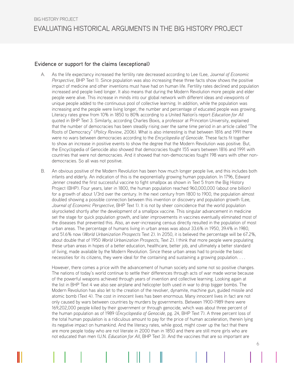## Evidence or support for the claims (exceptional)

- A. As the life expectancy increased the fertility rate decreased according to Lee (Lee, J*ournal of Economic Perspective*, BHP Text 1). Since population was also increasing these three facts show shows the positive impact of medicine and other inventions must have had on human life. Fertility rates declined and population increased and people lived longer. It also means that during the Modern Revolution more people and elder people were alive. This increase in minds into our global network with different ideas and viewpoints of unique people added to the continuous pool of collective learning. In addition, while the population was increasing and the people were living longer, the number and percentage of educated people was growing. Literacy rates grew from 10% in 1850 to 80% according to a United Nation's report *Education for All*  quoted in BHP Text 3. Similarly, according Charles Boxis, a professor at Princeton University, explained that the number of democracies has been steadily rising over the same time period in an article called "The Roots of Democracy" (*Policy Review*, 2006). What is also interesting is that between 1816 and 1991 there were no wars between democracies according to the *Encyclopedia of Genocide*. These facts fit together to show an increase in positive events to show the degree that the Modern Revolution was positive. But, the Encyclopedia of Genocide also showed that democracies fought 155 wars between 1816 and 1991 with countries that were not democracies. And it showed that non-democracies fought 198 wars with other nondemocracies. So all was not positive.
- B. An obvious positive of the Modern Revolution has been how much longer people live, and this includes both infants and elderly. An indication of this is the exponentially growing human population. In 1796, Edward Jenner created the first successful vaccine to fight smallpox as shown in Text 5 from the Big History Project (BHP). Four years, later in 1800, the human population reached 960,000,000 (about one billion) for a growth of about 1/3rd over the century. In the next century from 1800 to 1900, the population almost doubled showing a possible connection between this invention or discovery and population growth (Lee, *Journal of Economic Perspective*, BHP Text 1). It is not by sheer coincidence that the world population skyrocketed shortly after the development of a smallpox vaccine. This singular advancement in medicine set the stage for quick population growth, and later improvements in vaccines eventually eliminated most of the diseases that prevented this. Also, an ever-increasing census directly resulted in the population of most urban areas. The percentage of humans living in urban areas was about 33.6% in 1950, 39.4% in 1980, and 51.6% now (*World Urbanization Prospects* Text 2). In 2050, it is believed the percentage will be 67.2%, about double that of 1950 *World Urbanization Prospects*, Text 2). I think that more people were populating these urban areas in hopes of a better education, healthcare, better job, and ultimately a better standard of living, made available by the Modern Revolution. Since these urban areas had to provide the basic necessities for its citizens, they were ideal for the containing and sustaining a growing population. . . .

However, there comes a price with the advancement of human society and some not so positive changes. The nations of today's world continue to settle their differences through acts of war made worse because of the powerful weapons achieved through years of invention and collective learning. Looking again at the list in BHP Text 4 we also see airplane and helicopter both used in war to drop bigger bombs. The Modern Revolution has also let to the creation of the revolver, dynamite, machine gun, guided missile and atomic bomb (Text 4). The cost in innocent lives has been enormous. Many innocent lives in fact are not only caused by wars between countries by murders by governments. Between 1900-1989 there were 169,202,000 people killed by their government or through genocide, which was about three percent of the human population as of 1989 (*Encyclopedia of Genocide*, pg. 24, BHP Text 7). A three percent loss of the total human population is a ridiculous amount to pay for the price of human acceleration, therein lying its negative impact on humankind. And the literacy rates, while good, might cover up the fact that there are more people today who are not literate in 2000 than in 1850 and there are still more girls who are not educated than men (U.N. *Education for All*, BHP Text 3). And the vaccines that are so important are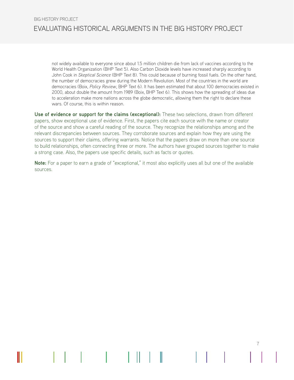not widely available to everyone since about 1.5 million children die from lack of vaccines according to the World Health Organization (BHP Text 5). Also Carbon Dioxide levels have increased sharply according to John Cook in *Skeptical Science* (BHP Text 8). This could because of burning fossil fuels. On the other hand, the number of democracies grew during the Modern Revolution. Most of the countries in the world are democracies (Boix, *Policy Review*, BHP Text 6). It has been estimated that about 100 democracies existed in 2000, about double the amount from 1989 (Boix, BHP Text 6). This shows how the spreading of ideas due to acceleration make more nations across the globe democratic, allowing them the right to declare these wars. Of course, this is within reason.

**Use of evidence or support for the claims (exceptional):** These two selections, drawn from different papers, show exceptional use of evidence. First, the papers cite each source with the name or creator of the source and show a careful reading of the source. They recognize the relationships among and the relevant discrepancies between sources. They corroborate sources and explain how they are using the sources to support their claims, offering warrants. Notice that the papers draw on more than one source to build relationships, often connecting three or more. The authors have grouped sources together to make a strong case. Also, the papers use specific details, such as facts or quotes.

**Note:** For a paper to earn a grade of "exceptional," it most also explicitly uses all but one of the available sources.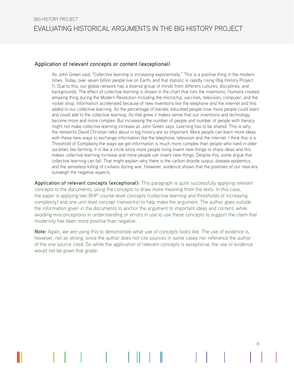#### Application of relevant concepts or content (exceptional)

As John Green said, "Collective learning is increasing exponentially." This is a positive thing in the modern times. Today, over seven billion people live on Earth, and that statistic is rapidly rising (Big History Project 1). Due to this, our global network has a diverse group of minds from different cultures, disciplines, and backgrounds. The effect of collective learning is shown in the chart that lists the inventions. Humans created amazing thing during the Modern Revolution including the microchip, vaccines, television, computer, and the rocket shop. Information accelerated because of new inventions like the telephone and the internet and this added to our collective learning. As the percentage of literate, educated people rose more people could learn and could add to the collective learning. As that grew it makes sense that our inventions and technology become more and more complex. But increasing the number of people and number of people with literacy might not make collective learning increase as John Green says. Learning has to be shared. This is why the networks David Christian talks about in big history are so important. More people can learn more ideas with these new ways to exchange information like the telephone, television and the internet. I think this is a Threshold of Complexity the ways we get information is much more complex than people who lived in older societies like farming. It is like a circle since more people living invent new things to share ideas and this makes collective learning increase and more people can invent new things. Despite this, some argue that collective learning can fail. That might explain why there is the carbon dioxide output, disease epidemics, and the senseless killing of civilians during war. However, evidence shows that the positives of our new era outweigh the negative aspects.

**Application of relevant concepts (exceptional):** This paragraph is quite successfully applying relevant concepts to the documents, using the concepts to draw more meaning from the texts. In this case, the paper is applying two BHP course-level concepts (collective learning and thresholds of increasing complexity) and one unit-level concept (networks) to help make the argument. The author goes outside the information given in the documents to anchor the argument to important ideas and content, while avoiding misconceptions in understanding or errors in use to use these concepts to support the claim that modernity has been more positive than negative.

**Note:** Again, we are using this to demonstrate what use of concepts looks like. The use of evidence is, however, not as strong, since the author does not cite sources in some cases nor reference the author of the one source cited. So while the application of relevant concepts is exceptional, the use of evidence would not be given that grade.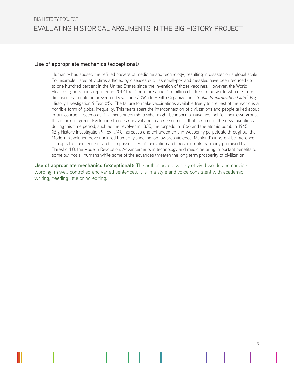#### Use of appropriate mechanics (exceptional)

Humanity has abused the refined powers of medicine and technology, resulting in disaster on a global scale. For example, rates of victims afflicted by diseases such as small-pox and measles have been reduced up to one hundred percent in the United States since the invention of those vaccines. However, the World Health Organizations reported in 2012 that "there are about 1.5 million children in the world who die from diseases that could be prevented by vaccines" (World Health Organization. "*Global Immunization Data*." Big History Investigation 9 Text #5). The failure to make vaccinations available freely to the rest of the world is a horrible form of global inequality. This tears apart the interconnection of civilizations and people talked about in our course. It seems as if humans succumb to what might be inborn survival instinct for their own group. It is a form of greed. Evolution stresses survival and I can see some of that in some of the new inventions during this time period, such as the revolver in 1835, the torpedo in 1866 and the atomic bomb in 1945 (Big History Investigation 9 Text #4). Increases and enhancements in weaponry perpetuate throughout the Modern Revolution have nurtured humanity's inclination towards violence. Mankind's inherent belligerence corrupts the innocence of and rich possibilities of innovation and thus, disrupts harmony promised by Threshold 8, the Modern Revolution. Advancements in technology and medicine bring important benefits to some but not all humans while some of the advances threaten the long term prosperity of civilization.

9

**Use of appropriate mechanics (exceptional):** The author uses a variety of vivid words and concise wording, in well-controlled and varied sentences. It is in a style and voice consistent with academic writing, needing little or no editing.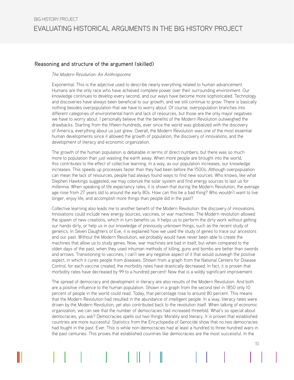### Reasoning and structure of the argument (skilled)

#### *The Modern Revolution: An Anthropocene*

Exponential. This is the adjective used to describe nearly everything related to human advancement. Humans are the only race who have achieved complete power over their surrounding environment. Our knowledge continues to develop every second, and our ways have become more sophisticated. Technology and discoveries have always been beneficial to our growth, and we still continue to grow. There is basically nothing besides overpopulation that we have to worry about. Of course, overpopulation branches into different categories of environmental harm and lack of resources, but those are the only major negatives we have to worry about. I personally believe that the benefits of the Modern Revolution outweighed the drawbacks. Starting from the fifteen-hundreds, ever since the world was globalized with the discovery of America, everything about us just grew. Overall, the Modern Revolution was one of the most essential human developments since it allowed the growth of population, the discovery of innovations, and the development of literacy and economic organization.

The growth of the human population is debatable in terms of direct numbers, but there was so much more to population than just wasting the earth away. When more people are brought into the world, this contributes to the effect of collective learning. In a way, as our population increases, our knowledge increases. This speeds up processes faster than they had been before the 1500s. Although overpopulation can mean the lack of resources, people had always found ways to find new sources. Who knows, like what Stephen Hawkings suggested, we may colonize the solar system and find energy sources to last us for millennia. When speaking of life expectancy rates, it is shown that during the Modern Revolution, the average age rose from 27 years old to around the early 80s. How can this be a bad thing? Who wouldn't want to live longer, enjoy life, and accomplish more things than people did in the past?

Collective learning also leads me to another benefit of the Modern Revolution: the discovery of innovations. Innovations could include new energy sources, vaccines, or war machines. The Modern revolution allowed the spawn of new creations, which in turn benefits us. It helps us to perform the dirty work without getting our hands dirty, or help us in our knowledge of previously unknown things, such as the recent study of genetics. In Seven Daughters of Eve, it is explained how we used the study of genes to trace our ancestors and our past. Without the Modern Revolution, we probably would have never been able to create the machines that allow us to study genes. Now, war machines are bad in itself, but when compared to the olden days of the past, when they used inhuman methods of killing, guns and bombs are better than swords and arrows. Transitioning to vaccines, I can't see any negative aspect of it that would outweigh the positive aspect, in which it cures people from diseases. Shown from a graph from the National Centers for Disease Control, for each vaccine created, the morbidity rates have drastically decreased. In fact, it is proven that morbidity rates have decreased by 99 to a hundred percent! Now that is a wildly significant improvement.

The spread of democracy and development in literacy are also results of the Modern Revolution. And both are a positive influence to the human population. Shown in a graph from the second text in 1850 only 10 percent of people in the world could read. Today, that percentage rose to around 80 percent. This means that the Modern Revolution had resulted in the abundance of intelligent people. In a way, literacy rates were driven by the Modern Revolution, yet also contributed back to the revolution itself. When talking of economic organization, we can see that the number of democracies had increased threefold. What's so special about democracies, you ask? Democracies spells out two things: Morality and literacy. It is proven that established countries are more successful. Statistics from the Encyclopedia of Genocide show that no two democracies had fought in the past. Ever. This is while non-democracies had at least a hundred to three hundred wars in the past centuries. This proves that established countries like democracies are the most successful. In the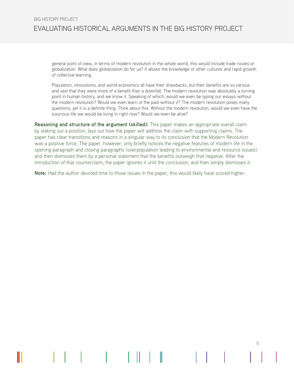general point of view, in terms of modern revolution in the whole world, this would include trade routes or globalization. What does globalization do for us? It allows the knowledge of other cultures and rapid growth of collective learning.

Population, innovations, and world economics all have their drawbacks, but their benefits are so various and vast that they were more of a benefit than a downfall. The modern revolution was absolutely a turning point in human history, and we know it. Speaking of which, would we even be typing our essays without the modern revolution? Would we even learn of the past without it? The modern revolution poses many questions, yet it is a definite thing. Think about this. Without the modern revolution, would we even have the luxurious life we would be living in right now? Would we even be alive?

**Reasoning and structure of the argument (skilled):** This paper makes an appropriate overall claim by staking out a position, lays out how the paper will address the claim with supporting claims. The paper has clear transitions and reasons in a singular way to its conclusion that the Modern Revolution was a positive force. The paper, however, only briefly notices the negative features of modern life in the opening paragraph and closing paragraphs (overpopulation leading to environmental and resource issues), and then dismisses them by a personal statement that the benefits outweigh that negative. After the introduction of that counterclaim, the paper ignores it until the conclusion, and then simply dismisses it.

11

**Note:** Had the author devoted time to those issues in the paper, this would likely have scored higher.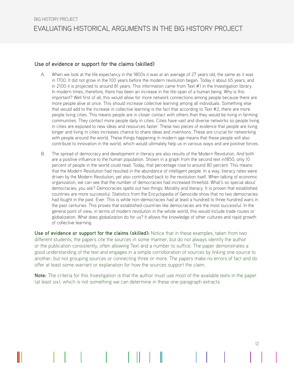### Use of evidence or support for the claims (skilled)

- A. When we look at the life expectancy in the 1800s it was at an average of 27 years old, the same as it was in 1700. It did not grow in the 100 years before the modern revolution began. Today it about 65 years, and in 2100 it is projected to around 81 years. This information came from Text #1 in the Investigation library. In modern times, therefore, there has been an increase in the life-span of a human being. Why is this important? Well first of all, this would allow for more network connections among people because there are more people alive at once. This should increase collective learning among all individuals. Something else that would add to the increase in collective learning is the fact that according to Text #2, there are more people living cities. This means people are in closer contact with others than they would be living in farming communities. They contact more people daily in cities. Cities have vast and diverse networks so people living in cities are exposed to new ideas and resources faster. These two pieces of evidence that people are living longer and living in cities increases chance to share ideas and inventions. These are crucial for networking with people around the world. These things happening in modern age means that these people will also contribute to innovation in the world, which would ultimately help us in various ways and are positive forces.
- B. The spread of democracy and development in literacy are also results of the Modern Revolution. And both are a positive influence to the human population. Shown in a graph from the second text in1850, only 10 percent of people in the world could read. Today, that percentage rose to around 80 percent. This means that the Modern Revolution had resulted in the abundance of intelligent people. In a way, literacy rates were driven by the Modern Revolution, yet also contributed back to the revolution itself. When talking of economic organization, we can see that the number of democracies had increased threefold. What's so special about democracies, you ask? Democracies spells out two things: Morality and literacy. It is proven that established countries are more successful. Statistics from the Encyclopedia of Genocide show that no two democracies had fought in the past. Ever. This is while non-democracies had at least a hundred to three hundred wars in the past centuries. This proves that established countries like democracies are the most successful. In the general point of view, in terms of modern revolution in the whole world, this would include trade routes or globalization. What does globalization do for us? It allows the knowledge of other cultures and rapid growth of collective learning.

**Use of evidence or support for the claims (skilled):** Notice that in these examples, taken from two different students, the papers cite the sources in some manner, but do not always identify the author or the publication consistently, often allowing Text and a number to suffice. The paper demonstrates a good understanding of the text and engages in a simple corroboration of sources by linking one source to another, but not grouping sources or connecting three or more. The papers make no errors of fact and do offer at least some warrant or explanation for how the sources support the claim.

**Note:** The criteria for this Investigation is that the author must use most of the available texts in the paper (at least six), which is not something we can determine in these one-paragraph extracts.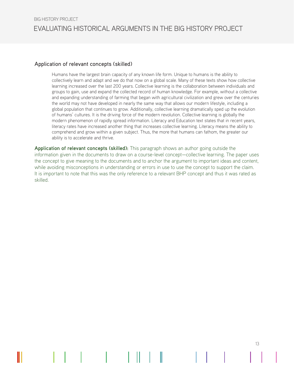#### Application of relevant concepts (skilled)

Humans have the largest brain capacity of any known life form. Unique to humans is the ability to collectively learn and adapt and we do that now on a global scale. Many of these texts show how collective learning increased over the last 200 years. Collective learning is the collaboration between individuals and groups to gain, use and expand the collected record of human knowledge. For example, without a collective and expanding understanding of farming that began with agricultural civilization and grew over the centuries the world may not have developed in nearly the same way that allows our modern lifestyle, including a global population that continues to grow. Additionally, collective learning dramatically sped up the evolution of humans' cultures. It is the driving force of the modern revolution. Collective learning is globally the modern phenomenon of rapidly spread information. Literacy and Education text states that in recent years, literacy rates have increased another thing that increases collective learning. Literacy means the ability to comprehend and grow within a given subject. Thus, the more that humans can fathom, the greater our ability is to accelerate and thrive.

**Application of relevant concepts (skilled):** This paragraph shows an author going outside the information given in the documents to draw on a course-level concept—collective learning. The paper uses the concept to give meaning to the documents and to anchor the argument to important ideas and content, while avoiding misconceptions in understanding or errors in use to use the concept to support the claim. It is important to note that this was the only reference to a relevant BHP concept and thus it was rated as skilled.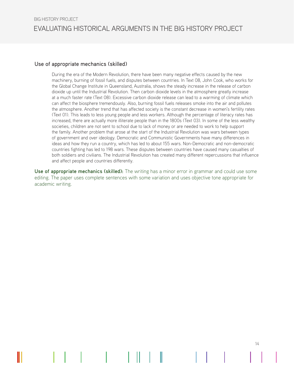#### Use of appropriate mechanics (skilled)

During the era of the Modern Revolution, there have been many negative effects caused by the new machinery, burning of fossil fuels, and disputes between countries. In Text 08, John Cook, who works for the Global Change Institute in Queensland, Australia, shows the steady increase in the release of carbon dioxide up until the Industrial Revolution. Then carbon dioxide levels in the atmosphere greatly increase at a much faster rate (Text 08). Excessive carbon dioxide release can lead to a warming of climate which can affect the biosphere tremendously. Also, burning fossil fuels releases smoke into the air and pollutes the atmosphere. Another trend that has affected society is the constant decrease in women's fertility rates (Text 01). This leads to less young people and less workers. Although the percentage of literacy rates has increased, there are actually more illiterate people than in the 1800s (Text 03). In some of the less wealthy societies, children are not sent to school due to lack of money or are needed to work to help support the family. Another problem that arose at the start of the Industrial Revolution was wars between types of government and over ideology. Democratic and Communistic Governments have many differences in ideas and how they run a country, which has led to about 155 wars. Non-Democratic and non-democratic countries fighting has led to 198 wars. These disputes between countries have caused many casualties of both soldiers and civilians. The Industrial Revolution has created many different repercussions that influence and affect people and countries differently.

**Use of appropriate mechanics (skilled):** The writing has a minor error in grammar and could use some editing. The paper uses complete sentences with some variation and uses objective tone appropriate for academic writing.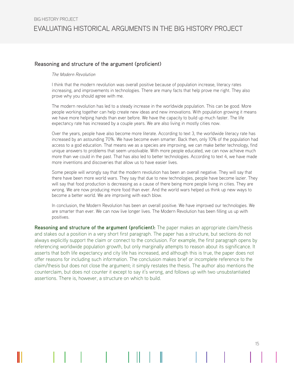## Reasoning and structure of the argument (proficient)

#### *The Modern Revolution*

I think that the modern revolution was overall positive because of population increase, literacy rates increasing, and improvements in technologies. There are many facts that help prove me right. They also prove why you should agree with me.

The modern revolution has led to a steady increase in the worldwide population. This can be good. More people working together can help create new ideas and new innovations. With population growing it means we have more helping hands than ever before. We have the capacity to build up much faster. The life expectancy rate has increased by a couple years. We are also living in mostly cities now.

Over the years, people have also become more literate. According to text 3, the worldwide literacy rate has increased by an astounding 70%. We have become even smarter. Back then, only 10% of the population had access to a god education. That means we as a species are improving, we can make better technology, find unique answers to problems that seem unsolvable. With more people educated, we can now achieve much more than we could in the past. That has also led to better technologies. According to text 4, we have made more inventions and discoveries that allow us to have easier lives.

Some people will wrongly say that the modern revolution has been an overall negative. They will say that there have been more world wars. They say that due to new technologies, people have become lazier. They will say that food production is decreasing as a cause of there being more people living in cities. They are wrong. We are now producing more food than ever. And the world wars helped us think up new ways to become a better world. We are improving with each blow.

In conclusion, the Modern Revolution has been an overall positive. We have improved our technologies. We are smarter than ever. We can now live longer lives. The Modern Revolution has been filling us up with positives.

**Reasoning and structure of the argument (proficient):** The paper makes an appropriate claim/thesis and stakes out a position in a very short first paragraph. The paper has a structure, but sections do not always explicitly support the claim or connect to the conclusion. For example, the first paragraph opens by referencing worldwide population growth, but only marginally attempts to reason about its significance. It asserts that both life expectancy and city life has increased, and although this is true, the paper does not offer reasons for including such information. The conclusion makes brief or incomplete reference to the claim/thesis but does not close the argument; it simply restates the thesis. The author also mentions the counterclaim, but does not counter it except to say it's wrong, and follows up with two unsubstantiated assertions. There is, however, a structure on which to build.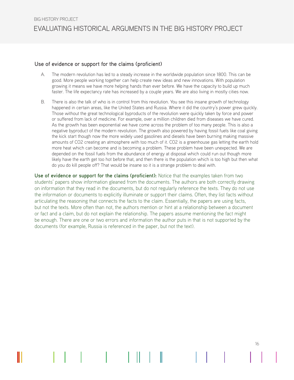#### Use of evidence or support for the claims (proficient)

- A. The modern revolution has led to a steady increase in the worldwide population since 1800. This can be good. More people working together can help create new ideas and new innovations. With population growing it means we have more helping hands than ever before. We have the capacity to build up much faster. The life expectancy rate has increased by a couple years. We are also living in mostly cities now.
- B. There is also the talk of who is in control from this revolution. You see this insane growth of technology happened in certain areas, like the United States and Russia. Where it did the country's power grew quickly. Those without the great technological byproducts of the revolution were quickly taken by force and power or suffered from lack of medicine. For example, over a million children died from diseases we have cured. As the growth has been exponential we have come across the problem of too many people. This is also a negative byproduct of the modern revolution. The growth also powered by having fossil fuels like coal giving the kick start though now the more widely used gasolines and diesels have been burning making massive amounts of CO2 creating an atmosphere with too much of it. CO2 is a greenhouse gas letting the earth hold more heat which can become and is becoming a problem. These problem have been unexpected. We are depended on the fossil fuels from the abundance of energy at disposal which could run out though more likely have the earth get too hot before that, and then there is the population which is too high but then what do you do kill people off? That would be insane so it is a strange problem to deal with.

**Use of evidence or support for the claims (proficient):** Notice that the examples taken from two students' papers show information gleaned from the documents. The authors are both correctly drawing on information that they read in the documents, but do not regularly reference the texts. They do not use the information or documents to explicitly illuminate or support their claims. Often, they list facts without articulating the reasoning that connects the facts to the claim. Essentially, the papers are using facts, but not the texts. More often than not, the authors mention or hint at a relationship between a document or fact and a claim, but do not explain the relationship. The papers assume mentioning the fact might be enough. There are one or two errors and information the author puts in that is not supported by the documents (for example, Russia is referenced in the paper, but not the text).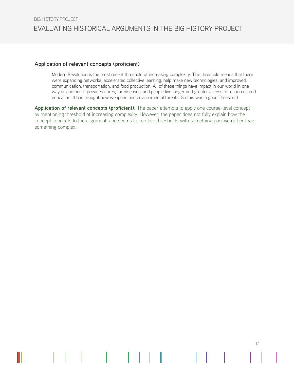#### Application of relevant concepts (proficient)

Modern Revolution is the most recent threshold of increasing complexity. This threshold means that there were expanding networks, accelerated collective learning, help make new technologies, and improved, communication, transportation, and food production. All of these things have impact in our world in one way or another. It provides cures, for diseases, and people live longer and greater access to resources and education. It has brought new weapons and environmental threats. So this was a good Threshold

17

**Application of relevant concepts (proficient):** The paper attempts to apply one course-level concept by mentioning threshold of increasing complexity. However, the paper does not fully explain how the concept connects to the argument, and seems to conflate thresholds with something positive rather than something complex.

II.

I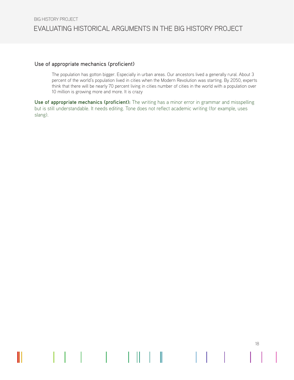#### Use of appropriate mechanics (proficient)

 $\mathbf{1}$ 

 $\mathbb{L}$ 

 $\parallel \parallel$ 

The population has gotton bigger. Especially in urban areas. Our ancestors lived a generally rural. About 3 percent of the world's population lived in cities when the Modern Revolution was starting. By 2050, experts think that there will be nearly 70 percent living in cities number of cities in the world with a population over 10 million is growing more and more. It is crazy

18

**Use of appropriate mechanics (proficient):** The writing has a minor error in grammar and misspelling but is still understandable. It needs editing. Tone does not reflect academic writing (for example, uses slang).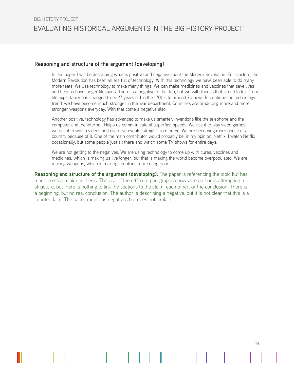#### Reasoning and structure of the argument (developing)

In this paper I will be describing what is positive and negative about the Modern Revolution. For starters, the Modern Revolution has been an era full of technology. With this technology we have been able to do many more feats. We use technology to make many things. We can make medicines and vaccines that save lives and help us have longer lifespans. There is a negative to that too, but we will discuss that later. On text 1 our life expectancy has changed from 27 years old in the 1700's to around 70 now. To continue the technology trend, we have become much stronger in the war department. Countries are producing more and more stronger weapons everyday. With that come a negative also.

Another positive, technology has advanced to make us smarter. Inventions like the telephone and the computer and the internet. Helps us communicate at superfast speeds. We use it to play video games, we use it to watch videos and even live events, straight from home. We are becoming more obese of a country because of it. One of the main contributor would probably be, in my opinion, Netflix. I watch Netflix occasionally, but some people just sit there and watch some TV shows for entire days.

We are not getting to the negatives. We are using technology to come up with cures, vaccines and medicines, which is making us live longer, but that is making the world become overpopulated. We are making weapons, which is making countries more dangerous.

19

**Reasoning and structure of the argument (developing):** The paper is referencing the topic but has made no clear claim or thesis. The use of the different paragraphs shows the author is attempting a structure, but there is nothing to link the sections to the claim, each other, or the conclusion. There is a beginning, but no real conclusion. The author is describing a negative, but it is not clear that this is a counterclaim. The paper mentions negatives but does not explain.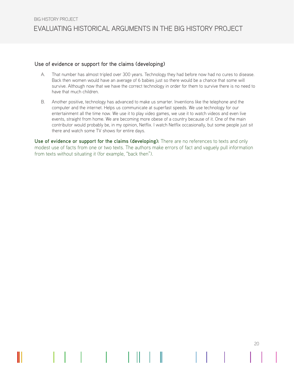#### Use of evidence or support for the claims (developing)

- A. That number has almost tripled over 300 years. Technology they had before now had no cures to disease. Back then women would have an average of 6 babies just so there would be a chance that some will survive. Although now that we have the correct technology in order for them to survive there is no need to have that much children.
- B. Another positive, technology has advanced to make us smarter. Inventions like the telephone and the computer and the internet. Helps us communicate at superfast speeds. We use technology for our entertainment all the time now. We use it to play video games, we use it to watch videos and even live events, straight from home. We are becoming more obese of a country because of it. One of the main contributor would probably be, in my opinion, Netflix. I watch Netflix occasionally, but some people just sit there and watch some TV shows for entire days.

**Use of evidence or support for the claims (developing):** There are no references to texts and only modest use of facts from one or two texts. The authors make errors of fact and vaguely pull information from texts without situating it (for example, "back then").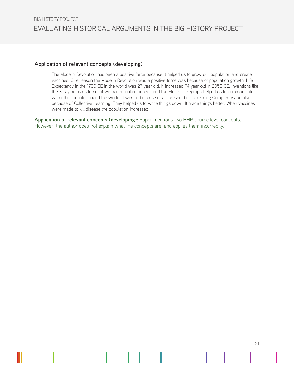#### Application of relevant concepts (developing)

The Modern Revolution has been a positive force because it helped us to grow our population and create vaccines. One reason the Modern Revolution was a positive force was because of population growth. Life Expectancy in the 1700 CE in the world was 27 year old. It increased 74 year old in 2050 CE. Inventions like the X-ray helps us to see if we had a broken bones , and the Electric telegraph helped us to communicate with other people around the world. It was all because of a Threshold of Increasing Complexity and also because of Collective Learning. They helped us to write things down. It made things better. When vaccines were made to kill disease the population increased.

21

**Application of relevant concepts (developing):** Paper mentions two BHP course level concepts. However, the author does not explain what the concepts are, and applies them incorrectly.

 $\mathbf{I}$ 

I

Ш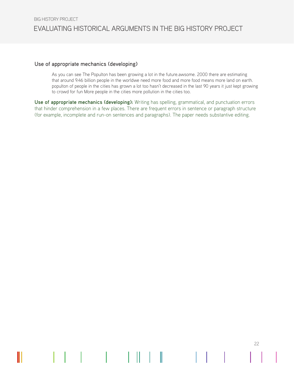#### Use of appropriate mechanics (developing)

As you can see The Populton has been growing a lot in the future.awsome. 2000 there are estimating that around 9.46 billion people in the worldwe need more food and more food means more land on earth. populton of people in the cities has grown a lot too hasn't decreased in the last 90 years it just kept growing to crowd for fun More people in the cities more pollution in the cities too.

22

**Use of appropriate mechanics (developing):** Writing has spelling, grammatical, and punctuation errors that hinder comprehension in a few places. There are frequent errors in sentence or paragraph structure (for example, incomplete and run-on sentences and paragraphs). The paper needs substantive editing.

 $\mathbb{R}^{\mathbb{Z}}$ 

 $\mathbb I$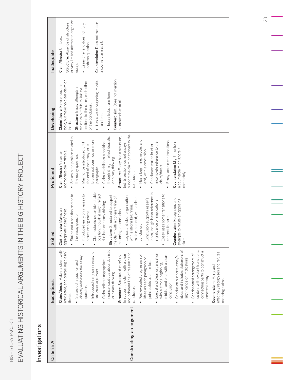EVALUATING HISTORICAL ARGUMENTS IN THE BIG HISTORY PROJECT EVALUATING HISTORICAL ARGUMENTS IN THE BIG HISTORY PROJECT BIG HISTORY PROJECT BIG HISTORY PROJECT

# Investigations Investigations

| Criteria A               | Exceptional                                                                                                            | Skillec                                                                                       | Proficient                                                                           | Developing                                                                   | Inadequate                                                  |
|--------------------------|------------------------------------------------------------------------------------------------------------------------|-----------------------------------------------------------------------------------------------|--------------------------------------------------------------------------------------|------------------------------------------------------------------------------|-------------------------------------------------------------|
|                          | Claim/thesis: Makes a clear, well-<br>articulated, and compelling claim/<br>thesis.                                    | Claim/thesis: Makes an<br>appropriate claim/thesis.                                           | appropriate claim/thesis.<br>Claim/thesis: Makes an                                  | topic, but make no clear claim or<br>Claim/thesis: References the<br>thesis. | Structure: Absence of structure<br>Claim/thesis: Off topic. |
|                          | Stakes out a position and                                                                                              | Stakes out a position related to<br>the essay question.                                       | Stakes out a position related to<br>the essay question.                              | Structure: Essay attempts a                                                  | or very limited attempt to organize<br>essay.               |
|                          | directly addresses the essay<br>question.                                                                              | • Introduced early on in essay to<br>structure argument.                                      | May not be introduced until<br>the end of the essay, or is<br>$\bullet$              | sections to the claim, each other,<br>structure but fails to link the        | • Essay brief and does not fully<br>address question.       |
|                          | Introduced early on in essay to<br>structure argument.                                                                 | establishes an identifiable<br>position, though it might reflect<br>Clainm                    | broken out over two or more<br>paragraphs.                                           | · Has a weak beginning, middle,<br>or the conclusion.                        | Counterclaim: Does not mention                              |
|                          | Claim reflects appropriate<br>$\bullet$                                                                                | dualistic or binary thinking.                                                                 | Claim establishes a position,                                                        | and end.                                                                     | a counterclaim at all.                                      |
|                          | nuance; cautious about dualistic<br>or binary thinking.                                                                | Structure: Structured to support<br>the claim with a coherent line of                         | though it might reflect dualistic<br>or binary thinking.                             | Counterclaim: Does not mention<br>• Essay lacks transitions.                 |                                                             |
|                          | Structure: Structured carefully                                                                                        | reasoning to conclusion.                                                                      | Structure: Essay has a structure,                                                    | a counterclaim at all.                                                       |                                                             |
| Constructing an argument | and coherent line of reasoning to<br>to support the claim with a clear<br>conclusion.                                  | · Logical and clear organization<br>middle, and end, with a clear<br>with a strong beginning, | support the claim or connect to the<br>but its sections do not always<br>conclusion. |                                                                              |                                                             |
|                          | Well-executed progression of                                                                                           | conclusion.                                                                                   | · Has a beginning, middle, and                                                       |                                                                              |                                                             |
|                          | ideas as each paragraph or<br>point builds upon the last.                                                              | Conclusion supports essay's                                                                   | end, with a conclusion.                                                              |                                                                              |                                                             |
|                          |                                                                                                                        | $\overline{c}$<br>ideas, though lacks reference                                               | Conclusion makes brief or                                                            |                                                                              |                                                             |
|                          | Logical and clear organization<br>$\bullet$                                                                            | significance or implications.                                                                 | incomplete reference to the                                                          |                                                                              |                                                             |
|                          | middle, and end, with a clear<br>with a strong beginning,<br>conclusion.                                               | Essay uses some transitions to<br>ict its parts.<br>conne                                     | Essay lacks clear transitions.<br>claim/thesis.                                      |                                                                              |                                                             |
|                          | ideas and includes statement of<br>Conclusion supports essay's<br>significance or implications.                        | Counterclaim: Recognizes and<br>to refute an opposing<br>attempts<br>claim.                   | Counterclaim: Might mention<br>a counterclaim or ignore it<br>completely.            |                                                                              |                                                             |
|                          | content with evident transitions,<br>connecting parts to construct a<br>Sophisticated arrangement of<br>coherent essay |                                                                                               |                                                                                      |                                                                              |                                                             |
|                          | effectively recognizes and refutes<br>Counterclaim: Fairly and<br>opposing claims.                                     |                                                                                               |                                                                                      |                                                                              |                                                             |

23

 $\equiv$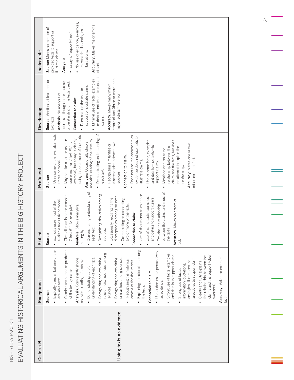EVALUATING HISTORICAL ARGUMENTS IN THE BIG HISTORY PROJECT EVALUATING HISTORICAL ARGUMENTS IN THE BIG HISTORY PROJECT BIG HISTORY PROJECT BIG HISTORY PROJECT

24

 $\equiv$